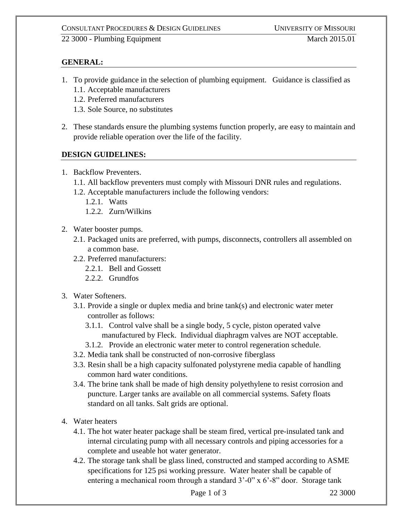## CONSULTANT PROCEDURES & DESIGN GUIDELINES UNIVERSITY OF MISSOURI

22 3000 - Plumbing Equipment March 2015.01

## **GENERAL:**

- 1. To provide guidance in the selection of plumbing equipment. Guidance is classified as
	- 1.1. Acceptable manufacturers
	- 1.2. Preferred manufacturers
	- 1.3. Sole Source, no substitutes
- 2. These standards ensure the plumbing systems function properly, are easy to maintain and provide reliable operation over the life of the facility.

## **DESIGN GUIDELINES:**

- 1. Backflow Preventers.
	- 1.1. All backflow preventers must comply with Missouri DNR rules and regulations.
	- 1.2. Acceptable manufacturers include the following vendors:
		- 1.2.1. Watts
		- 1.2.2. Zurn/Wilkins
- 2. Water booster pumps.
	- 2.1. Packaged units are preferred, with pumps, disconnects, controllers all assembled on a common base.
	- 2.2. Preferred manufacturers:
		- 2.2.1. Bell and Gossett
		- 2.2.2. Grundfos
- 3. Water Softeners.
	- 3.1. Provide a single or duplex media and brine tank(s) and electronic water meter controller as follows:
		- 3.1.1. Control valve shall be a single body, 5 cycle, piston operated valve manufactured by Fleck. Individual diaphragm valves are NOT acceptable.
		- 3.1.2. Provide an electronic water meter to control regeneration schedule.
	- 3.2. Media tank shall be constructed of non-corrosive fiberglass
	- 3.3. Resin shall be a high capacity sulfonated polystyrene media capable of handling common hard water conditions.
	- 3.4. The brine tank shall be made of high density polyethylene to resist corrosion and puncture. Larger tanks are available on all commercial systems. Safety floats standard on all tanks. Salt grids are optional.
- 4. Water heaters
	- 4.1. The hot water heater package shall be steam fired, vertical pre-insulated tank and internal circulating pump with all necessary controls and piping accessories for a complete and useable hot water generator.
	- 4.2. The storage tank shall be glass lined, constructed and stamped according to ASME specifications for 125 psi working pressure. Water heater shall be capable of entering a mechanical room through a standard 3'-0" x 6'-8" door. Storage tank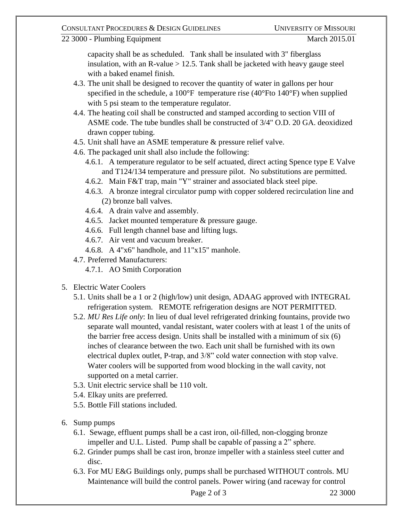capacity shall be as scheduled. Tank shall be insulated with 3" fiberglass insulation, with an R-value  $> 12.5$ . Tank shall be jacketed with heavy gauge steel with a baked enamel finish.

- 4.3. The unit shall be designed to recover the quantity of water in gallons per hour specified in the schedule, a  $100^{\circ}$ F temperature rise (40 $^{\circ}$ Fto 140 $^{\circ}$ F) when supplied with 5 psi steam to the temperature regulator.
- 4.4. The heating coil shall be constructed and stamped according to section VIII of ASME code. The tube bundles shall be constructed of 3/4" O.D. 20 GA. deoxidized drawn copper tubing.
- 4.5. Unit shall have an ASME temperature & pressure relief valve.
- 4.6. The packaged unit shall also include the following:
	- 4.6.1. A temperature regulator to be self actuated, direct acting Spence type E Valve and T124/134 temperature and pressure pilot. No substitutions are permitted.
	- 4.6.2. Main F&T trap, main "Y" strainer and associated black steel pipe.
	- 4.6.3. A bronze integral circulator pump with copper soldered recirculation line and (2) bronze ball valves.
	- 4.6.4. A drain valve and assembly.
	- 4.6.5. Jacket mounted temperature & pressure gauge.
	- 4.6.6. Full length channel base and lifting lugs.
	- 4.6.7. Air vent and vacuum breaker.
	- 4.6.8. A 4"x6" handhole, and 11"x15" manhole.
- 4.7. Preferred Manufacturers:
	- 4.7.1. AO Smith Corporation
- 5. Electric Water Coolers
	- 5.1. Units shall be a 1 or 2 (high/low) unit design, ADAAG approved with INTEGRAL refrigeration system. REMOTE refrigeration designs are NOT PERMITTED.
	- 5.2. *MU Res Life only*: In lieu of dual level refrigerated drinking fountains, provide two separate wall mounted, vandal resistant, water coolers with at least 1 of the units of the barrier free access design. Units shall be installed with a minimum of six (6) inches of clearance between the two. Each unit shall be furnished with its own electrical duplex outlet, P-trap, and 3/8" cold water connection with stop valve. Water coolers will be supported from wood blocking in the wall cavity, not supported on a metal carrier.
	- 5.3. Unit electric service shall be 110 volt.
	- 5.4. Elkay units are preferred.
	- 5.5. Bottle Fill stations included.
- 6. Sump pumps
	- 6.1. Sewage, effluent pumps shall be a cast iron, oil-filled, non-clogging bronze impeller and U.L. Listed. Pump shall be capable of passing a 2" sphere.
	- 6.2. Grinder pumps shall be cast iron, bronze impeller with a stainless steel cutter and disc.
	- 6.3. For MU E&G Buildings only, pumps shall be purchased WITHOUT controls. MU Maintenance will build the control panels. Power wiring (and raceway for control